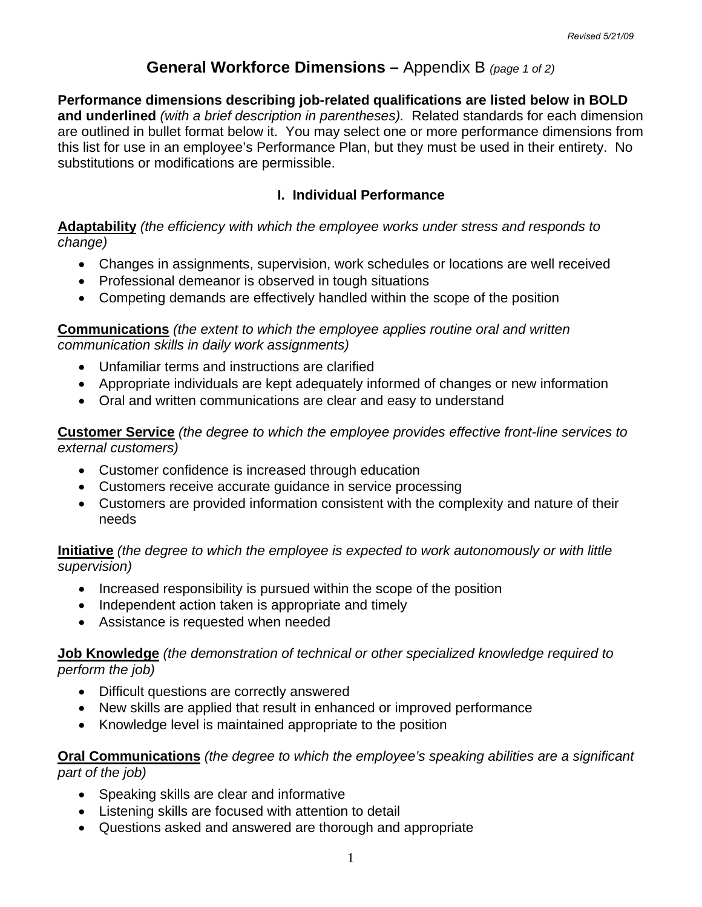## **General Workforce Dimensions –** Appendix B *(page 1 of 2)*

**Performance dimensions describing job-related qualifications are listed below in BOLD and underlined** *(with a brief description in parentheses).* Related standards for each dimension are outlined in bullet format below it. You may select one or more performance dimensions from this list for use in an employee's Performance Plan, but they must be used in their entirety. No substitutions or modifications are permissible.

### **I. Individual Performance**

**Adaptability** *(the efficiency with which the employee works under stress and responds to change)* 

- Changes in assignments, supervision, work schedules or locations are well received
- Professional demeanor is observed in tough situations
- Competing demands are effectively handled within the scope of the position

#### **Communications** *(the extent to which the employee applies routine oral and written communication skills in daily work assignments)*

- Unfamiliar terms and instructions are clarified
- Appropriate individuals are kept adequately informed of changes or new information
- Oral and written communications are clear and easy to understand

**Customer Service** *(the degree to which the employee provides effective front-line services to external customers)* 

- Customer confidence is increased through education
- Customers receive accurate guidance in service processing
- Customers are provided information consistent with the complexity and nature of their needs

#### **Initiative** *(the degree to which the employee is expected to work autonomously or with little supervision)*

- Increased responsibility is pursued within the scope of the position
- Independent action taken is appropriate and timely
- Assistance is requested when needed

#### **Job Knowledge** *(the demonstration of technical or other specialized knowledge required to perform the job)*

- Difficult questions are correctly answered
- New skills are applied that result in enhanced or improved performance
- Knowledge level is maintained appropriate to the position

**Oral Communications** *(the degree to which the employee's speaking abilities are a significant part of the job)* 

- Speaking skills are clear and informative
- Listening skills are focused with attention to detail
- Questions asked and answered are thorough and appropriate